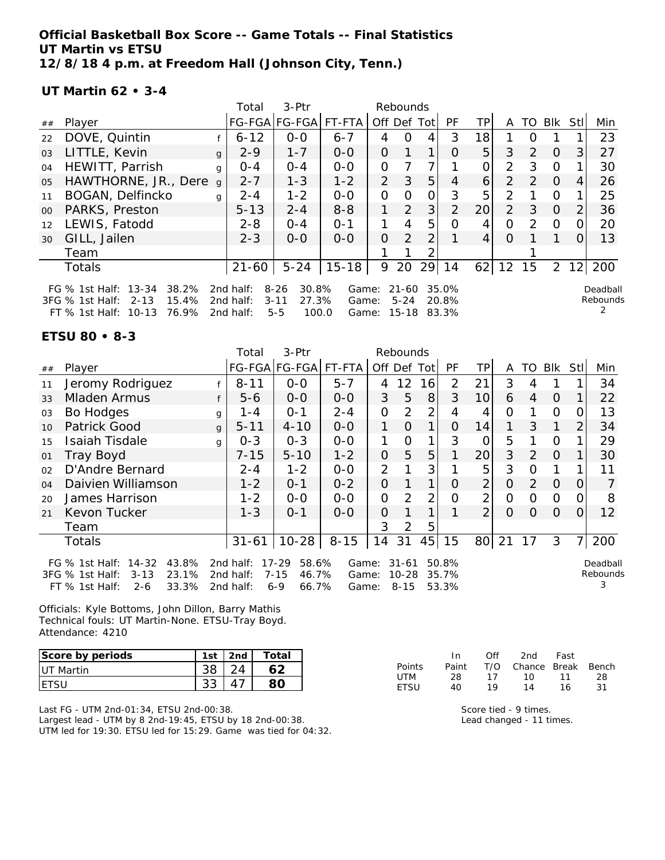**Official Basketball Box Score -- Game Totals -- Final Statistics UT Martin vs ETSU 12/8/18 4 p.m. at Freedom Hall (Johnson City, Tenn.)**

**UT Martin 62 • 3-4**

|                |                                                                                                        |              | Total                               | 3-Ptr<br>Rebounds                                          |                         |                |                       |             |                               |                 |                |               |                |                |                      |
|----------------|--------------------------------------------------------------------------------------------------------|--------------|-------------------------------------|------------------------------------------------------------|-------------------------|----------------|-----------------------|-------------|-------------------------------|-----------------|----------------|---------------|----------------|----------------|----------------------|
| ##             | Player                                                                                                 |              |                                     | FG-FGA FG-FGA  FT-FTA                                      |                         |                |                       | Off Def Tot | <b>PF</b>                     | TP.             | A              |               | TO BIK         | Stll           | Min                  |
| 22             | DOVE, Quintin                                                                                          |              | $6 - 12$                            | $0 - 0$                                                    | $6 - 7$                 | 4              | O                     | 4           | 3                             | 18              |                | O             |                |                | 23                   |
| 03             | LITTLE, Kevin                                                                                          | $\mathbf{q}$ | $2 - 9$                             | $1 - 7$                                                    | $O-O$                   | 0              |                       |             | O                             | 5               | 3              | $\mathcal{P}$ | $\Omega$       | 3              | 27                   |
| 04             | HEWITT, Parrish                                                                                        | g            | $O - 4$                             | $0 - 4$                                                    | $0 - 0$                 | 0              |                       |             |                               | 0               | 2              | 3             | $\Omega$       |                | 30                   |
| 0 <sub>5</sub> | HAWTHORNE, JR., Dere                                                                                   | a            | $2 - 7$                             | $1 - 3$                                                    | $1 - 2$                 | $\overline{2}$ | 3                     | 5           | 4                             | 6               | $\overline{2}$ | $\mathcal{P}$ | $\Omega$       | 4              | 26                   |
| 11             | BOGAN, Delfincko                                                                                       | g            | $2 - 4$                             | $1 - 2$                                                    | $0 - 0$                 | 0              | 0                     | 0           | 3                             | 5               | 2              |               | $\Omega$       |                | 25                   |
| $00\,$         | PARKS, Preston                                                                                         |              | $5 - 13$                            | $2 - 4$                                                    | $8 - 8$                 | 1              | 2                     | 3           | 2                             | 20              | $\mathcal{P}$  | 3             | $\overline{0}$ | $\overline{2}$ | 36                   |
| 12             | LEWIS, Fatodd                                                                                          |              | $2 - 8$                             | $O - 4$                                                    | $O - 1$                 |                | 4                     | 5           | O                             | 4               | 0              | $\mathcal{D}$ | $\Omega$       |                | 20                   |
| 30             | GILL, Jailen                                                                                           |              | $2 - 3$                             | $0 - 0$                                                    | $O-O$                   | O              | $\overline{2}$        | 2           |                               | $\vert 4 \vert$ | $\Omega$       |               |                |                | 13                   |
|                | Team                                                                                                   |              |                                     |                                                            |                         |                |                       |             |                               |                 |                |               |                |                |                      |
|                | Totals                                                                                                 |              | 21-60                               | $5 - 24$                                                   | $15 - 18$               | 9              | 20                    | 29          | 14                            | 62              | 12             | 15            | $\overline{2}$ | 12             | 200                  |
|                | FG % 1st Half: 13-34<br>38.2%<br>15.4%<br>3FG % 1st Half:<br>$2 - 13$<br>76.9%<br>FT % 1st Half: 10-13 |              | 2nd half:<br>2nd half:<br>2nd half: | $8 - 26$<br>30.8%<br>27.3%<br>$3 - 11$<br>100.0<br>$5 - 5$ | Game:<br>Game:<br>Game: |                | $21 - 60$<br>$5 - 24$ |             | 35.0%<br>20.8%<br>15-18 83.3% |                 |                |               |                |                | Deadball<br>Rebounds |

#### **ETSU 80 • 8-3**

|    |                                                                                                                  |   | Total                               | 3-Ptr                                                       |                         |                | Rebounds                           |                |                         |                 |                |          |          |                |                           |
|----|------------------------------------------------------------------------------------------------------------------|---|-------------------------------------|-------------------------------------------------------------|-------------------------|----------------|------------------------------------|----------------|-------------------------|-----------------|----------------|----------|----------|----------------|---------------------------|
| ## | Player                                                                                                           |   |                                     | FG-FGA FG-FGA                                               | FT-FTA                  |                | Off Def Tot                        |                | <b>PF</b>               | TP              | A              | TO I     | Blk      | <b>StII</b>    | Min                       |
| 11 | Jeromy Rodriguez                                                                                                 |   | $8 - 11$                            | $0-0$                                                       | $5 - 7$                 | 4              | 2                                  | 16             | 2                       | 21              | 3              | 4        |          |                | 34                        |
| 33 | Mladen Armus                                                                                                     |   | $5 - 6$                             | $O-O$                                                       | $0-0$                   | 3              | 5                                  | 8              | 3                       | 10              | 6              | 4        | $\Omega$ |                | 22                        |
| 03 | Bo Hodges                                                                                                        | g | 1 - 4                               | $0 - 1$                                                     | $2 - 4$                 | 0              | 2                                  | 2              | 4                       | 4               | 0              |          | 0        | O              | 13                        |
| 10 | Patrick Good                                                                                                     | g | $5 - 11$                            | $4 - 10$                                                    | $0-0$                   | 1.             | $\Omega$                           |                | 0                       | 14              | $\mathbf 1$    | 3        | 1        | 2              | 34                        |
| 15 | <b>Isaiah Tisdale</b>                                                                                            | g | $0 - 3$                             | $0 - 3$                                                     | $0-0$                   | 1              | 0                                  |                | 3                       | 0               | 5              |          | 0        |                | 29                        |
| 01 | Tray Boyd                                                                                                        |   | $7 - 15$                            | $5 - 10$                                                    | $1 - 2$                 | 0              | 5                                  | 5              |                         | 20 <sup>°</sup> | 3              | 2        | $\Omega$ |                | 30                        |
| 02 | D'Andre Bernard                                                                                                  |   | $2 - 4$                             | $1 - 2$                                                     | $0-0$                   | 2              |                                    | 3              |                         | 5               | 3              | O        |          |                | 11                        |
| 04 | Daivien Williamson                                                                                               |   | $1 - 2$                             | $0 - 1$                                                     | $0 - 2$                 | $\mathcal{O}$  |                                    | 1              | 0                       | $\overline{2}$  | $\overline{O}$ | 2        | $\Omega$ | 0              |                           |
| 20 | James Harrison                                                                                                   |   | $1 - 2$                             | $O-O$                                                       | $0-0$                   | $\overline{O}$ | 2                                  | $\overline{2}$ | Ο                       | $\overline{2}$  | $\Omega$       | $\Omega$ | $\Omega$ | 0              | 8                         |
| 21 | Kevon Tucker                                                                                                     |   | $1 - 3$                             | $0 - 1$                                                     | $0 - 0$                 | 0              |                                    |                |                         | $\overline{2}$  | $\Omega$       | Ο        | $\Omega$ | $\Omega$       | 12                        |
|    | Team                                                                                                             |   |                                     |                                                             |                         | 3              | 2                                  | 5              |                         |                 |                |          |          |                |                           |
|    | Totals                                                                                                           |   | $31 - 61$                           | $10 - 28$                                                   | $8 - 15$                | 14             | 31                                 | 45             | 15                      | 80 <sup>2</sup> | 21             | 17       | 3        | $\overline{7}$ | 200                       |
|    | 14-32<br>43.8%<br>FG $%$ 1st Half:<br>23.1%<br>3FG % 1st Half:<br>$3 - 13$<br>33.3%<br>FT % 1st Half:<br>$2 - 6$ |   | 2nd half:<br>2nd half:<br>2nd half: | $17 - 29$<br>58.6%<br>$7 - 15$<br>46.7%<br>$6 - 9$<br>66.7% | Game:<br>Game:<br>Game: |                | $31 - 61$<br>$10 - 28$<br>$8 - 15$ |                | 50.8%<br>35.7%<br>53.3% |                 |                |          |          |                | Deadball<br>Rebounds<br>3 |

Officials: Kyle Bottoms, John Dillon, Barry Mathis Technical fouls: UT Martin-None. ETSU-Tray Boyd. Attendance: 4210

| Score by periods  | 1st | 2nd | Total |
|-------------------|-----|-----|-------|
| <b>IUT Martin</b> |     |     |       |
|                   |     |     |       |

Last FG - UTM 2nd-01:34, ETSU 2nd-00:38. Largest lead - UTM by 8 2nd-19:45, ETSU by 18 2nd-00:38. UTM led for 19:30. ETSU led for 15:29. Game was tied for 04:32.

|             | In.   | Off | 2nd                    | Fast |     |
|-------------|-------|-----|------------------------|------|-----|
| Points      | Paint |     | T/O Chance Break Bench |      |     |
| UTM         | 28.   | 17  | 1 O                    | 11   | 28  |
| <b>FTSU</b> | 40.   | 19  | 14                     | 16   | -31 |

Score tied - 9 times. Lead changed - 11 times.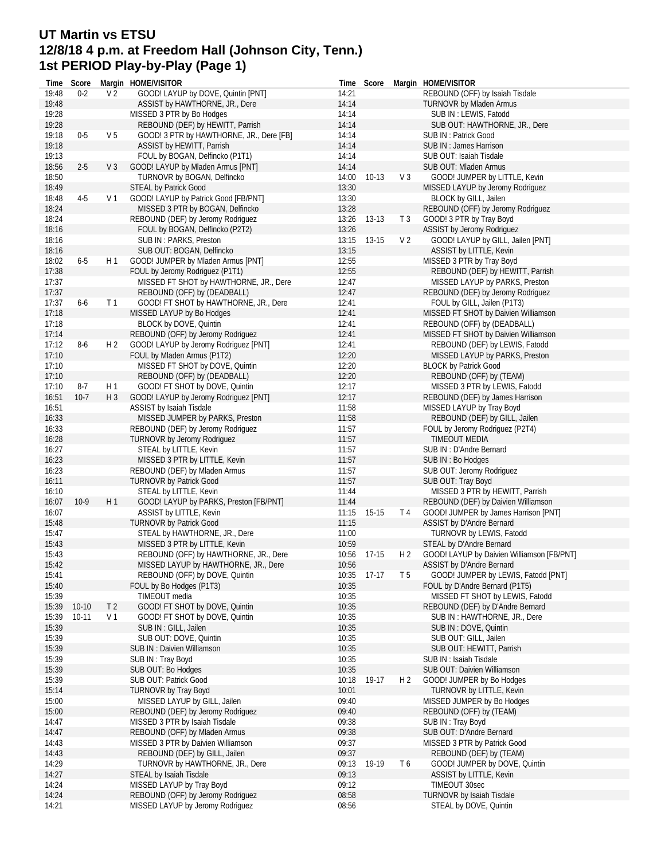#### **UT Martin vs ETSU 12/8/18 4 p.m. at Freedom Hall (Johnson City, Tenn.) 1st PERIOD Play-by-Play (Page 1)**

**Time Score Margin HOME/VISITOR**  $19:48$  0-2  $V<sup>2</sup>$  GOOD! LAYUP by DOVE, Quintin [PNT] 19:48 ASSIST by HAWTHORNE, JR., Dere 19:28 MISSED 3 PTR by Bo Hodges 19:28 REBOUND (DEF) by HEWITT, Parrish 19:18 0-5 V 5 GOOD! 3 PTR by HAWTHORNE, JR., Dere [FB] 19:18 ASSIST by HEWITT, Parrish 19:13 FOUL by BOGAN, Delfincko (P1T1) 18:56 2-5 V 3 GOOD! LAYUP by Mladen Armus [PNT] 18:50 TURNOVR by BOGAN, Delfincko 18:49 STEAL by Patrick Good 18:48 4-5 V 1 GOOD! LAYUP by Patrick Good [FB/PNT] 18:24 MISSED 3 PTR by BOGAN, Delfincko 18:24 REBOUND (DEF) by Jeromy Rodriguez 18:16 FOUL by BOGAN, Delfincko (P2T2) 18:16 SUB IN : PARKS, Preston 18:16 SUB OUT: BOGAN, Delfincko 18:02 6-5 H 1 GOOD! JUMPER by Mladen Armus [PNT] 17:38 FOUL by Jeromy Rodriguez (P1T1) 17:37 MISSED FT SHOT by HAWTHORNE, JR., Dere 17:37 REBOUND (OFF) by (DEADBALL) 17:37 6-6 T1 GOOD! FT SHOT by HAWTHORNE, JR., Dere 17:18 MISSED LAYUP by Bo Hodges 17:18 BLOCK by DOVE, Quintin 17:14 REBOUND (OFF) by Jeromy Rodriguez 17:12 8-6 H 2 GOOD! LAYUP by Jeromy Rodriguez [PNT]<br>17:10 FOUL by Mladen Armus (P1T2) FOUL by Mladen Armus (P1T2) 17:10 MISSED FT SHOT by DOVE, Quintin 17:10 REBOUND (OFF) by (DEADBALL) 17:10 8-7 H 1 GOOD! FT SHOT by DOVE, Quintin 16:51 10-7 H 3 GOOD! LAYUP by Jeromy Rodriguez [PNT] 16:51 ASSIST by Isaiah Tisdale 16:33 MISSED JUMPER by PARKS, Preston 16:33 REBOUND (DEF) by Jeromy Rodriguez 16:28 TURNOVR by Jeromy Rodriguez 16:27 STEAL by LITTLE, Kevin 16:23 MISSED 3 PTR by LITTLE, Kevin 16:23 REBOUND (DEF) by Mladen Armus 16:11 TURNOVR by Patrick Good 16:10 STEAL by LITTLE, Kevin 16:07 10-9 H 1 GOOD! LAYUP by PARKS, Preston [FB/PNT] 16:07 ASSIST by LITTLE, Kevin 15:48 TURNOVR by Patrick Good 15:47 STEAL by HAWTHORNE, JR., Dere 15:43 MISSED 3 PTR by LITTLE, Kevin 15:43 REBOUND (OFF) by HAWTHORNE, JR., Dere 15:42 MISSED LAYUP by HAWTHORNE, JR., Dere 15:41 REBOUND (OFF) by DOVE, Quintin<br>15:40 FOUL by Bo Hodges (P1T3) FOUL by Bo Hodges (P1T3) 15:39 TIMEOUT media 15:39 10-10 T 2 GOOD! FT SHOT by DOVE, Quintin 15:39 10-11 V 1 GOOD! FT SHOT by DOVE, Quintin 15:39 SUB IN : GILL, Jailen 15:39 SUB OUT: DOVE, Quintin 15:39 SUB IN : Daivien Williamson 15:39 SUB IN : Tray Boyd 15:39 SUB OUT: Bo Hodges 15:39 SUB OUT: Patrick Good 15:14 TURNOVR by Tray Boyd 15:00 MISSED LAYUP by GILL, Jailen 15:00 REBOUND (DEF) by Jeromy Rodriguez 14:47 MISSED 3 PTR by Isaiah Tisdale 14:47 REBOUND (OFF) by Mladen Armus 14:43 MISSED 3 PTR by Daivien Williamson 14:43 REBOUND (DEF) by GILL, Jailen 14:29 TURNOVR by HAWTHORNE, JR., Dere 14:27 STEAL by Isaiah Tisdale 14:24 MISSED LAYUP by Tray Boyd 14:24 REBOUND (OFF) by Jeromy Rodriguez 14:21 MISSED LAYUP by Jeromy Rodriguez **Time Score Margin HOME/VISITOR** 14:21 REBOUND (OFF) by Isaiah Tisdale 14:14 TURNOVR by Mladen Armus 14:14 SUB IN : LEWIS, Fatodd 14:14 SUB OUT: HAWTHORNE, JR., Dere 14:14 SUB IN : Patrick Good 14:14 SUB IN : James Harrison 14:14 SUB OUT: Isaiah Tisdale 14:14 SUB OUT: Mladen Armus 14:00 10-13 V 3 GOOD! JUMPER by LITTLE, Kevin 13:30 MISSED LAYUP by Jeromy Rodriguez 13:30 BLOCK by GILL, Jailen 13:28 REBOUND (OFF) by Jeromy Rodriguez 13:26 13-13 T 3 GOOD! 3 PTR by Tray Boyd 13:26 **ASSIST by Jeromy Rodriguez** 13:15 13-15 V 2 GOOD! LAYUP by GILL, Jailen [PNT] 13:15 ASSIST by LITTLE, Kevin 12:55 MISSED 3 PTR by Tray Boyd 12:55 REBOUND (DEF) by HEWITT, Parrish 12:47 MISSED LAYUP by PARKS, Preston 12:47 REBOUND (DEF) by Jeromy Rodriguez 12:41 FOUL by GILL, Jailen (P1T3) 12:41 MISSED FT SHOT by Daivien Williamson 12:41 REBOUND (OFF) by (DEADBALL) 12:41 MISSED FT SHOT by Daivien Williamson 12:41 REBOUND (DEF) by LEWIS, Fatodd 12:20 MISSED LAYUP by PARKS, Preston 12:20 BLOCK by Patrick Good 12:20 REBOUND (OFF) by (TEAM) 12:17 MISSED 3 PTR by LEWIS, Fatodd 12:17 REBOUND (DEF) by James Harrison 11:58 MISSED LAYUP by Tray Boyd 11:58 REBOUND (DEF) by GILL, Jailen 11:57 FOUL by Jeromy Rodriguez (P2T4) 11:57 TIMEOUT MEDIA 11:57 SUB IN : D'Andre Bernard 11:57 SUB IN : Bo Hodges 11:57 SUB OUT: Jeromy Rodriguez 11:57 SUB OUT: Tray Boyd 11:44 MISSED 3 PTR by HEWITT, Parrish 11:44 REBOUND (DEF) by Daivien Williamson 11:15 15-15 T4 GOOD! JUMPER by James Harrison [PNT] 11:15 ASSIST by D'Andre Bernard 11:00 TURNOVR by LEWIS, Fatodd 10:59 STEAL by D'Andre Bernard<br>10:56 17-15 H2 GOOD! LAYUP by Daivien \ GOOD! LAYUP by Daivien Williamson [FB/PNT] 10:56 **ASSIST by D'Andre Bernard**<br>10:35 17-17 T5 GOOD! JUMPER by LEWI 10:35 17-17 T 5 GOOD! JUMPER by LEWIS, Fatodd [PNT]<br>10:35 FOUL by D'Andre Bernard (P1T5) FOUL by D'Andre Bernard (P1T5) 10:35 MISSED FT SHOT by LEWIS, Fatodd 10:35 REBOUND (DEF) by D'Andre Bernard 10:35 SUB IN : HAWTHORNE, JR., Dere 10:35 SUB IN : DOVE, Quintin 10:35 SUB OUT: GILL, Jailen 10:35 SUB OUT: HEWITT, Parrish 10:35 SUB IN : Isaiah Tisdale 10:35 SUB OUT: Daivien Williamson 10:18 19-17 H 2 GOOD! JUMPER by Bo Hodges 10:01 TURNOVR by LITTLE, Kevin 09:40 MISSED JUMPER by Bo Hodges 09:40 REBOUND (OFF) by (TEAM) 09:38 SUB IN : Tray Boyd 09:38 SUB OUT: D'Andre Bernard 09:37 MISSED 3 PTR by Patrick Good 09:37 REBOUND (DEF) by (TEAM) 09:13 19-19 T 6 GOOD! JUMPER by DOVE, Quintin 09:13 ASSIST by LITTLE, Kevin 09:12 TIMEOUT 30sec<br>08:58 TURNOVR by Isaia TURNOVR by Isaiah Tisdale 08:56 STEAL by DOVE, Quintin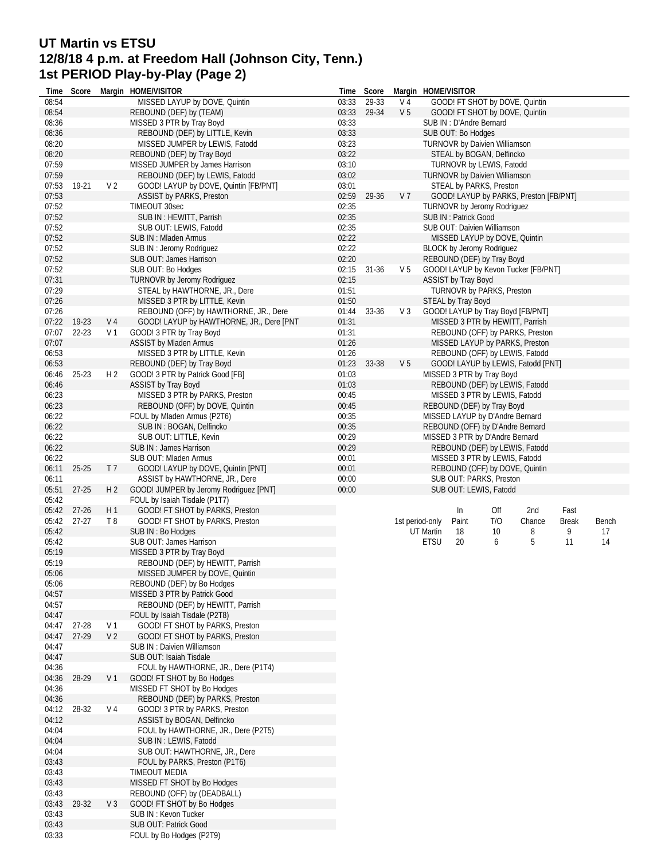# **UT Martin vs ETSU 12/8/18 4 p.m. at Freedom Hall (Johnson City, Tenn.) 1st PERIOD Play-by-Play (Page 2)**

| Time           | Score     |                | Margin HOME/VISITOR                      | Time  | Score     |                | Margin HOME/VISITOR |                            |                                      |                                        |       |       |
|----------------|-----------|----------------|------------------------------------------|-------|-----------|----------------|---------------------|----------------------------|--------------------------------------|----------------------------------------|-------|-------|
| 08:54          |           |                | MISSED LAYUP by DOVE, Quintin            | 03:33 | 29-33     | V 4            |                     |                            |                                      | GOOD! FT SHOT by DOVE, Quintin         |       |       |
| 08:54          |           |                | REBOUND (DEF) by (TEAM)                  | 03:33 | 29-34     | V <sub>5</sub> |                     |                            |                                      | GOOD! FT SHOT by DOVE, Quintin         |       |       |
| 08:36          |           |                | MISSED 3 PTR by Tray Boyd                | 03:33 |           |                |                     | SUB IN : D'Andre Bernard   |                                      |                                        |       |       |
| 08:36          |           |                | REBOUND (DEF) by LITTLE, Kevin           | 03:33 |           |                |                     | SUB OUT: Bo Hodges         |                                      |                                        |       |       |
| 08:20          |           |                | MISSED JUMPER by LEWIS, Fatodd           | 03:23 |           |                |                     |                            | <b>TURNOVR by Daivien Williamson</b> |                                        |       |       |
| 08:20          |           |                | REBOUND (DEF) by Tray Boyd               | 03:22 |           |                |                     |                            | STEAL by BOGAN, Delfincko            |                                        |       |       |
| 07:59          |           |                | MISSED JUMPER by James Harrison          | 03:10 |           |                |                     |                            | TURNOVR by LEWIS, Fatodd             |                                        |       |       |
| 07:59          |           |                | REBOUND (DEF) by LEWIS, Fatodd           | 03:02 |           |                |                     |                            | <b>TURNOVR by Daivien Williamson</b> |                                        |       |       |
| 07:53          | 19-21     | V <sub>2</sub> | GOOD! LAYUP by DOVE, Quintin [FB/PNT]    | 03:01 |           |                |                     |                            | STEAL by PARKS, Preston              |                                        |       |       |
| 07:53          |           |                | <b>ASSIST by PARKS, Preston</b>          | 02:59 | 29-36     | V <sub>7</sub> |                     |                            |                                      | GOOD! LAYUP by PARKS, Preston [FB/PNT] |       |       |
|                |           |                |                                          |       |           |                |                     |                            |                                      |                                        |       |       |
| 07:52          |           |                | TIMEOUT 30sec                            | 02:35 |           |                |                     |                            | TURNOVR by Jeromy Rodriguez          |                                        |       |       |
| 07:52          |           |                | SUB IN: HEWITT, Parrish                  | 02:35 |           |                |                     | SUB IN: Patrick Good       |                                      |                                        |       |       |
| 07:52          |           |                | SUB OUT: LEWIS, Fatodd                   | 02:35 |           |                |                     |                            | SUB OUT: Daivien Williamson          |                                        |       |       |
| 07:52          |           |                | SUB IN: Mladen Armus                     | 02:22 |           |                |                     |                            | MISSED LAYUP by DOVE, Quintin        |                                        |       |       |
| 07:52          |           |                | SUB IN : Jeromy Rodriguez                | 02:22 |           |                |                     |                            | BLOCK by Jeromy Rodriguez            |                                        |       |       |
| 07:52          |           |                | SUB OUT: James Harrison                  | 02:20 |           |                |                     |                            | REBOUND (DEF) by Tray Boyd           |                                        |       |       |
| 07:52          |           |                | SUB OUT: Bo Hodges                       | 02:15 | $31 - 36$ | V <sub>5</sub> |                     |                            |                                      | GOOD! LAYUP by Kevon Tucker [FB/PNT]   |       |       |
| 07:31          |           |                | <b>TURNOVR by Jeromy Rodriguez</b>       | 02:15 |           |                |                     | <b>ASSIST by Tray Boyd</b> |                                      |                                        |       |       |
| 07:29          |           |                | STEAL by HAWTHORNE, JR., Dere            | 01:51 |           |                |                     |                            | TURNOVR by PARKS, Preston            |                                        |       |       |
| 07:26          |           |                | MISSED 3 PTR by LITTLE, Kevin            | 01:50 |           |                |                     | STEAL by Tray Boyd         |                                      |                                        |       |       |
| 07:26          |           |                | REBOUND (OFF) by HAWTHORNE, JR., Dere    | 01:44 | 33-36     | V <sub>3</sub> |                     |                            |                                      | GOOD! LAYUP by Tray Boyd [FB/PNT]      |       |       |
| 07:22          | 19-23     | V <sub>4</sub> | GOOD! LAYUP by HAWTHORNE, JR., Dere [PNT | 01:31 |           |                |                     |                            |                                      | MISSED 3 PTR by HEWITT, Parrish        |       |       |
| 07:07          | $22 - 23$ | V 1            | GOOD! 3 PTR by Tray Boyd                 | 01:31 |           |                |                     |                            |                                      | REBOUND (OFF) by PARKS, Preston        |       |       |
| 07:07          |           |                | <b>ASSIST by Mladen Armus</b>            | 01:26 |           |                |                     |                            |                                      | MISSED LAYUP by PARKS, Preston         |       |       |
|                |           |                |                                          |       |           |                |                     |                            |                                      |                                        |       |       |
| 06:53          |           |                | MISSED 3 PTR by LITTLE, Kevin            | 01:26 |           |                |                     |                            |                                      | REBOUND (OFF) by LEWIS, Fatodd         |       |       |
| 06:53          |           |                | REBOUND (DEF) by Tray Boyd               | 01:23 | 33-38     | V <sub>5</sub> |                     |                            |                                      | GOOD! LAYUP by LEWIS, Fatodd [PNT]     |       |       |
| 06:46          | 25-23     | H <sub>2</sub> | GOOD! 3 PTR by Patrick Good [FB]         | 01:03 |           |                |                     |                            | MISSED 3 PTR by Tray Boyd            |                                        |       |       |
| 06:46          |           |                | <b>ASSIST by Tray Boyd</b>               | 01:03 |           |                |                     |                            |                                      | REBOUND (DEF) by LEWIS, Fatodd         |       |       |
| 06:23          |           |                | MISSED 3 PTR by PARKS, Preston           | 00:45 |           |                |                     |                            | MISSED 3 PTR by LEWIS, Fatodd        |                                        |       |       |
| 06:23          |           |                | REBOUND (OFF) by DOVE, Quintin           | 00:45 |           |                |                     |                            | REBOUND (DEF) by Tray Boyd           |                                        |       |       |
| 06:22          |           |                | FOUL by Mladen Armus (P2T6)              | 00:35 |           |                |                     |                            | MISSED LAYUP by D'Andre Bernard      |                                        |       |       |
| 06:22          |           |                | SUB IN: BOGAN, Delfincko                 | 00:35 |           |                |                     |                            |                                      | REBOUND (OFF) by D'Andre Bernard       |       |       |
| 06:22          |           |                | SUB OUT: LITTLE, Kevin                   | 00:29 |           |                |                     |                            | MISSED 3 PTR by D'Andre Bernard      |                                        |       |       |
|                |           |                |                                          |       |           |                |                     |                            |                                      |                                        |       |       |
|                |           |                |                                          |       |           |                |                     |                            |                                      |                                        |       |       |
| 06:22          |           |                | SUB IN: James Harrison                   | 00:29 |           |                |                     |                            |                                      | REBOUND (DEF) by LEWIS, Fatodd         |       |       |
| 06:22          |           |                | SUB OUT: Mladen Armus                    | 00:01 |           |                |                     |                            | MISSED 3 PTR by LEWIS, Fatodd        |                                        |       |       |
| 06:11          | $25 - 25$ | T <sub>7</sub> | GOOD! LAYUP by DOVE, Quintin [PNT]       | 00:01 |           |                |                     |                            |                                      | REBOUND (OFF) by DOVE, Quintin         |       |       |
| 06:11          |           |                | ASSIST by HAWTHORNE, JR., Dere           | 00:00 |           |                |                     |                            | SUB OUT: PARKS, Preston              |                                        |       |       |
| 05:51          | $27 - 25$ | H <sub>2</sub> | GOOD! JUMPER by Jeromy Rodriguez [PNT]   | 00:00 |           |                |                     |                            | SUB OUT: LEWIS, Fatodd               |                                        |       |       |
| 05:42          |           |                | FOUL by Isaiah Tisdale (P1T7)            |       |           |                |                     |                            |                                      |                                        |       |       |
| 05:42          | $27 - 26$ | H1             | GOOD! FT SHOT by PARKS, Preston          |       |           |                |                     | In                         | Off                                  | 2nd                                    | Fast  |       |
| 05:42          | $27-27$   | T8             | GOOD! FT SHOT by PARKS, Preston          |       |           |                | 1st period-only     | Paint                      | T/O                                  | Chance                                 | Break | Bench |
| 05:42          |           |                | SUB IN : Bo Hodges                       |       |           |                | <b>UT Martin</b>    | 18                         | 10                                   | 8                                      | 9     | 17    |
| 05:42          |           |                | SUB OUT: James Harrison                  |       |           |                | <b>ETSU</b>         | 20                         | 6                                    | 5                                      | 11    | 14    |
| 05:19          |           |                | MISSED 3 PTR by Tray Boyd                |       |           |                |                     |                            |                                      |                                        |       |       |
|                |           |                |                                          |       |           |                |                     |                            |                                      |                                        |       |       |
| 05:19          |           |                | REBOUND (DEF) by HEWITT, Parrish         |       |           |                |                     |                            |                                      |                                        |       |       |
| 05:06          |           |                | MISSED JUMPER by DOVE, Quintin           |       |           |                |                     |                            |                                      |                                        |       |       |
| 05:06          |           |                | REBOUND (DEF) by Bo Hodges               |       |           |                |                     |                            |                                      |                                        |       |       |
| 04:57          |           |                | MISSED 3 PTR by Patrick Good             |       |           |                |                     |                            |                                      |                                        |       |       |
| 04:57          |           |                | REBOUND (DEF) by HEWITT, Parrish         |       |           |                |                     |                            |                                      |                                        |       |       |
| 04:47          |           |                | FOUL by Isaiah Tisdale (P2T8)            |       |           |                |                     |                            |                                      |                                        |       |       |
| 04:47          | 27-28     | V 1            | GOOD! FT SHOT by PARKS, Preston          |       |           |                |                     |                            |                                      |                                        |       |       |
| 04:47          | 27-29     | V <sub>2</sub> | GOOD! FT SHOT by PARKS, Preston          |       |           |                |                     |                            |                                      |                                        |       |       |
| 04:47          |           |                | <b>SUB IN: Daivien Williamson</b>        |       |           |                |                     |                            |                                      |                                        |       |       |
| 04:47          |           |                | SUB OUT: Isaiah Tisdale                  |       |           |                |                     |                            |                                      |                                        |       |       |
| 04:36          |           |                | FOUL by HAWTHORNE, JR., Dere (P1T4)      |       |           |                |                     |                            |                                      |                                        |       |       |
| 04:36          | 28-29     | V <sub>1</sub> | GOOD! FT SHOT by Bo Hodges               |       |           |                |                     |                            |                                      |                                        |       |       |
|                |           |                |                                          |       |           |                |                     |                            |                                      |                                        |       |       |
| 04:36<br>04:36 |           |                | MISSED FT SHOT by Bo Hodges              |       |           |                |                     |                            |                                      |                                        |       |       |
|                |           | V 4            | REBOUND (DEF) by PARKS, Preston          |       |           |                |                     |                            |                                      |                                        |       |       |
| 04:12          | 28-32     |                | GOOD! 3 PTR by PARKS, Preston            |       |           |                |                     |                            |                                      |                                        |       |       |
| 04:12          |           |                | ASSIST by BOGAN, Delfincko               |       |           |                |                     |                            |                                      |                                        |       |       |
| 04:04          |           |                | FOUL by HAWTHORNE, JR., Dere (P2T5)      |       |           |                |                     |                            |                                      |                                        |       |       |
| 04:04          |           |                | SUB IN : LEWIS, Fatodd                   |       |           |                |                     |                            |                                      |                                        |       |       |
| 04:04          |           |                | SUB OUT: HAWTHORNE, JR., Dere            |       |           |                |                     |                            |                                      |                                        |       |       |
| 03:43          |           |                | FOUL by PARKS, Preston (P1T6)            |       |           |                |                     |                            |                                      |                                        |       |       |
| 03:43          |           |                | TIMEOUT MEDIA                            |       |           |                |                     |                            |                                      |                                        |       |       |
| 03:43          |           |                | MISSED FT SHOT by Bo Hodges              |       |           |                |                     |                            |                                      |                                        |       |       |
| 03:43          |           |                | REBOUND (OFF) by (DEADBALL)              |       |           |                |                     |                            |                                      |                                        |       |       |
| 03:43          | 29-32     | $V_3$          | GOOD! FT SHOT by Bo Hodges               |       |           |                |                     |                            |                                      |                                        |       |       |
| 03:43          |           |                | SUB IN: Kevon Tucker                     |       |           |                |                     |                            |                                      |                                        |       |       |
| 03:43          |           |                | SUB OUT: Patrick Good                    |       |           |                |                     |                            |                                      |                                        |       |       |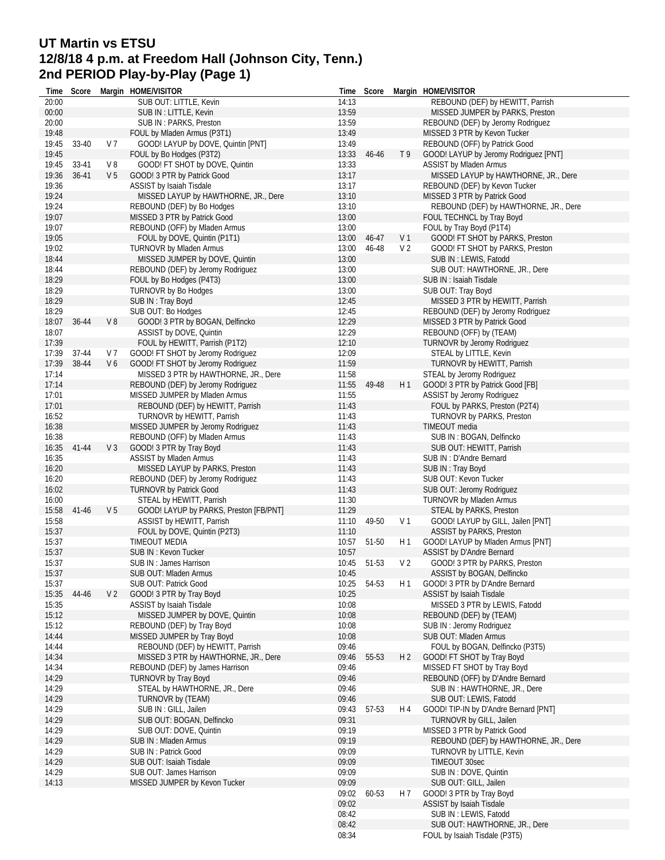# **UT Martin vs ETSU 12/8/18 4 p.m. at Freedom Hall (Johnson City, Tenn.) 2nd PERIOD Play-by-Play (Page 1)**

| Time           | Score     |                | Margin HOME/VISITOR                                        |                | Time Score |                | Margin HOME/VISITOR                                                  |
|----------------|-----------|----------------|------------------------------------------------------------|----------------|------------|----------------|----------------------------------------------------------------------|
| 20:00          |           |                | SUB OUT: LITTLE, Kevin                                     | 14:13          |            |                | REBOUND (DEF) by HEWITT, Parrish                                     |
| 00:00          |           |                | SUB IN : LITTLE, Kevin                                     | 13:59          |            |                | MISSED JUMPER by PARKS, Preston                                      |
| 20:00          |           |                | SUB IN: PARKS, Preston                                     | 13:59          |            |                | REBOUND (DEF) by Jeromy Rodriguez                                    |
| 19:48          |           |                | FOUL by Mladen Armus (P3T1)                                | 13:49          |            |                | MISSED 3 PTR by Kevon Tucker                                         |
| 19:45          | 33-40     | V 7            | GOOD! LAYUP by DOVE, Quintin [PNT]                         | 13:49          |            |                | REBOUND (OFF) by Patrick Good                                        |
| 19:45          |           |                | FOUL by Bo Hodges (P3T2)                                   | 13:33          | 46-46      | T9             | GOOD! LAYUP by Jeromy Rodriguez [PNT]                                |
| 19:45          | 33-41     | V8             | GOOD! FT SHOT by DOVE, Quintin                             | 13:33          |            |                | <b>ASSIST by Mladen Armus</b>                                        |
| 19:36          | $36 - 41$ | V <sub>5</sub> | GOOD! 3 PTR by Patrick Good                                | 13:17          |            |                | MISSED LAYUP by HAWTHORNE, JR., Dere                                 |
| 19:36          |           |                | ASSIST by Isaiah Tisdale                                   | 13:17          |            |                | REBOUND (DEF) by Kevon Tucker                                        |
| 19:24          |           |                | MISSED LAYUP by HAWTHORNE, JR., Dere                       | 13:10          |            |                | MISSED 3 PTR by Patrick Good                                         |
| 19:24<br>19:07 |           |                | REBOUND (DEF) by Bo Hodges<br>MISSED 3 PTR by Patrick Good | 13:10<br>13:00 |            |                | REBOUND (DEF) by HAWTHORNE, JR., Dere<br>FOUL TECHNCL by Tray Boyd   |
| 19:07          |           |                | REBOUND (OFF) by Mladen Armus                              | 13:00          |            |                | FOUL by Tray Boyd (P1T4)                                             |
| 19:05          |           |                | FOUL by DOVE, Quintin (P1T1)                               | 13:00          | 46-47      | V 1            | GOOD! FT SHOT by PARKS, Preston                                      |
| 19:02          |           |                | TURNOVR by Mladen Armus                                    | 13:00          | 46-48      | V <sub>2</sub> | GOOD! FT SHOT by PARKS, Preston                                      |
| 18:44          |           |                | MISSED JUMPER by DOVE, Quintin                             | 13:00          |            |                | SUB IN : LEWIS, Fatodd                                               |
| 18:44          |           |                | REBOUND (DEF) by Jeromy Rodriguez                          | 13:00          |            |                | SUB OUT: HAWTHORNE, JR., Dere                                        |
| 18:29          |           |                | FOUL by Bo Hodges (P4T3)                                   | 13:00          |            |                | SUB IN : Isaiah Tisdale                                              |
| 18:29          |           |                | TURNOVR by Bo Hodges                                       | 13:00          |            |                | SUB OUT: Tray Boyd                                                   |
| 18:29          |           |                | SUB IN: Tray Boyd                                          | 12:45          |            |                | MISSED 3 PTR by HEWITT, Parrish                                      |
| 18:29          |           |                | SUB OUT: Bo Hodges                                         | 12:45          |            |                | REBOUND (DEF) by Jeromy Rodriguez                                    |
| 18:07          | 36-44     | V8             | GOOD! 3 PTR by BOGAN, Delfincko                            | 12:29          |            |                | MISSED 3 PTR by Patrick Good                                         |
| 18:07          |           |                | ASSIST by DOVE, Quintin                                    | 12:29          |            |                | REBOUND (OFF) by (TEAM)                                              |
| 17:39          |           |                | FOUL by HEWITT, Parrish (P1T2)                             | 12:10          |            |                | TURNOVR by Jeromy Rodriguez                                          |
| 17:39          | 37-44     | V 7            | GOOD! FT SHOT by Jeromy Rodriguez                          | 12:09          |            |                | STEAL by LITTLE, Kevin                                               |
| 17:39          | 38-44     | V6             | GOOD! FT SHOT by Jeromy Rodriguez                          | 11:59          |            |                | TURNOVR by HEWITT, Parrish                                           |
| 17:14          |           |                | MISSED 3 PTR by HAWTHORNE, JR., Dere                       | 11:58          |            |                | STEAL by Jeromy Rodriguez                                            |
| 17:14          |           |                | REBOUND (DEF) by Jeromy Rodriguez                          | 11:55          | 49-48      | H1             | GOOD! 3 PTR by Patrick Good [FB]                                     |
| 17:01          |           |                | MISSED JUMPER by Mladen Armus                              | 11:55          |            |                | <b>ASSIST by Jeromy Rodriguez</b>                                    |
| 17:01          |           |                | REBOUND (DEF) by HEWITT, Parrish                           | 11:43          |            |                | FOUL by PARKS, Preston (P2T4)                                        |
| 16:52          |           |                | TURNOVR by HEWITT, Parrish                                 | 11:43          |            |                | TURNOVR by PARKS, Preston                                            |
| 16:38          |           |                | MISSED JUMPER by Jeromy Rodriguez                          | 11:43          |            |                | TIMEOUT media                                                        |
| 16:38          |           |                | REBOUND (OFF) by Mladen Armus                              | 11:43          |            |                | SUB IN: BOGAN, Delfincko                                             |
| 16:35          | 41-44     | V <sub>3</sub> | GOOD! 3 PTR by Tray Boyd                                   | 11:43          |            |                | SUB OUT: HEWITT, Parrish                                             |
| 16:35          |           |                | <b>ASSIST by Mladen Armus</b>                              | 11:43          |            |                | SUB IN : D'Andre Bernard                                             |
| 16:20          |           |                | MISSED LAYUP by PARKS, Preston                             | 11:43          |            |                | SUB IN: Tray Boyd                                                    |
| 16:20          |           |                | REBOUND (DEF) by Jeromy Rodriguez                          | 11:43          |            |                | SUB OUT: Kevon Tucker                                                |
| 16:02          |           |                | <b>TURNOVR by Patrick Good</b>                             | 11:43          |            |                | SUB OUT: Jeromy Rodriguez                                            |
| 16:00          |           |                | STEAL by HEWITT, Parrish                                   | 11:30          |            |                | <b>TURNOVR by Mladen Armus</b>                                       |
| 15:58          | 41-46     | V <sub>5</sub> | GOOD! LAYUP by PARKS, Preston [FB/PNT]                     | 11:29          |            |                | STEAL by PARKS, Preston                                              |
| 15:58          |           |                | ASSIST by HEWITT, Parrish                                  | 11:10          | 49-50      | V <sub>1</sub> | GOOD! LAYUP by GILL, Jailen [PNT]                                    |
| 15:37<br>15:37 |           |                | FOUL by DOVE, Quintin (P2T3)<br>TIMEOUT MEDIA              | 11:10<br>10:57 | 51-50      | H 1            | <b>ASSIST by PARKS, Preston</b><br>GOOD! LAYUP by Mladen Armus [PNT] |
| 15:37          |           |                | SUB IN : Kevon Tucker                                      | 10:57          |            |                | ASSIST by D'Andre Bernard                                            |
| 15:37          |           |                | SUB IN: James Harrison                                     | 10:45          | 51-53      | V <sub>2</sub> | GOOD! 3 PTR by PARKS, Preston                                        |
| 15:37          |           |                | SUB OUT: Mladen Armus                                      | 10:45          |            |                | ASSIST by BOGAN, Delfincko                                           |
| 15:37          |           |                | SUB OUT: Patrick Good                                      | 10:25          | 54-53      | H <sub>1</sub> | GOOD! 3 PTR by D'Andre Bernard                                       |
| 15:35          | 44-46     | V <sub>2</sub> | GOOD! 3 PTR by Tray Boyd                                   | 10:25          |            |                | ASSIST by Isaiah Tisdale                                             |
| 15:35          |           |                | ASSIST by Isaiah Tisdale                                   | 10:08          |            |                | MISSED 3 PTR by LEWIS, Fatodd                                        |
| 15:12          |           |                | MISSED JUMPER by DOVE, Quintin                             | 10:08          |            |                | REBOUND (DEF) by (TEAM)                                              |
| 15:12          |           |                | REBOUND (DEF) by Tray Boyd                                 | 10:08          |            |                | SUB IN : Jeromy Rodriguez                                            |
| 14:44          |           |                | MISSED JUMPER by Tray Boyd                                 | 10:08          |            |                | SUB OUT: Mladen Armus                                                |
| 14:44          |           |                | REBOUND (DEF) by HEWITT, Parrish                           | 09:46          |            |                | FOUL by BOGAN, Delfincko (P3T5)                                      |
| 14:34          |           |                | MISSED 3 PTR by HAWTHORNE, JR., Dere                       | 09:46          | 55-53      | H <sub>2</sub> | GOOD! FT SHOT by Tray Boyd                                           |
| 14:34          |           |                | REBOUND (DEF) by James Harrison                            | 09:46          |            |                | MISSED FT SHOT by Tray Boyd                                          |
| 14:29          |           |                | <b>TURNOVR by Tray Boyd</b>                                | 09:46          |            |                | REBOUND (OFF) by D'Andre Bernard                                     |
| 14:29          |           |                | STEAL by HAWTHORNE, JR., Dere                              | 09:46          |            |                | SUB IN: HAWTHORNE, JR., Dere                                         |
| 14:29          |           |                | TURNOVR by (TEAM)                                          | 09:46          |            |                | SUB OUT: LEWIS, Fatodd                                               |
| 14:29          |           |                | SUB IN: GILL, Jailen                                       | 09:43          | 57-53      | H 4            | GOOD! TIP-IN by D'Andre Bernard [PNT]                                |
| 14:29          |           |                | SUB OUT: BOGAN, Delfincko                                  | 09:31          |            |                | TURNOVR by GILL, Jailen                                              |
| 14:29          |           |                | SUB OUT: DOVE, Quintin                                     | 09:19          |            |                | MISSED 3 PTR by Patrick Good                                         |
| 14:29          |           |                | SUB IN : Mladen Armus                                      | 09:19          |            |                | REBOUND (DEF) by HAWTHORNE, JR., Dere                                |
| 14:29          |           |                | SUB IN: Patrick Good                                       | 09:09          |            |                | TURNOVR by LITTLE, Kevin                                             |
| 14:29          |           |                | SUB OUT: Isaiah Tisdale                                    | 09:09          |            |                | <b>TIMEOUT 30sec</b>                                                 |
| 14:29          |           |                | SUB OUT: James Harrison                                    | 09:09          |            |                | SUB IN : DOVE, Quintin                                               |
| 14:13          |           |                | MISSED JUMPER by Kevon Tucker                              | 09:09          |            |                | SUB OUT: GILL, Jailen                                                |
|                |           |                |                                                            | 09:02          | 60-53      | H 7            | GOOD! 3 PTR by Tray Boyd                                             |
|                |           |                |                                                            | 09:02<br>08:42 |            |                | ASSIST by Isaiah Tisdale                                             |
|                |           |                |                                                            | 08:42          |            |                | SUB IN : LEWIS, Fatodd<br>SUB OUT: HAWTHORNE, JR., Dere              |
|                |           |                |                                                            | 08:34          |            |                | FOUL by Isaiah Tisdale (P3T5)                                        |
|                |           |                |                                                            |                |            |                |                                                                      |